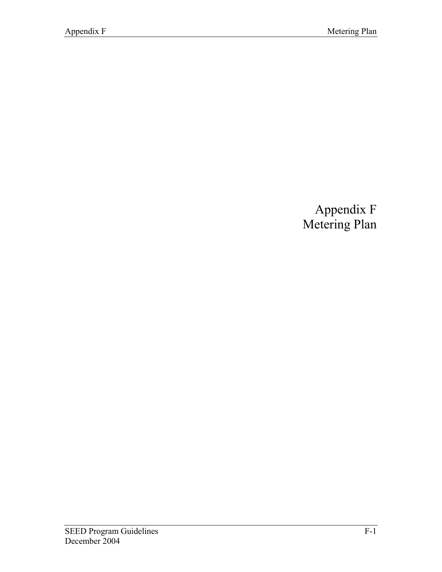# Appendix F Metering Plan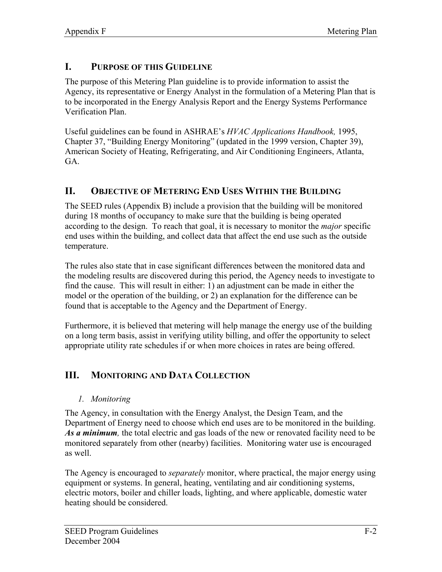# **I. PURPOSE OF THIS GUIDELINE**

The purpose of this Metering Plan guideline is to provide information to assist the Agency, its representative or Energy Analyst in the formulation of a Metering Plan that is to be incorporated in the Energy Analysis Report and the Energy Systems Performance Verification Plan.

Useful guidelines can be found in ASHRAE's *HVAC Applications Handbook,* 1995, Chapter 37, "Building Energy Monitoring" (updated in the 1999 version, Chapter 39), American Society of Heating, Refrigerating, and Air Conditioning Engineers, Atlanta, GA.

## **II. OBJECTIVE OF METERING END USES WITHIN THE BUILDING**

The SEED rules (Appendix B) include a provision that the building will be monitored during 18 months of occupancy to make sure that the building is being operated according to the design. To reach that goal, it is necessary to monitor the *major* specific end uses within the building, and collect data that affect the end use such as the outside temperature.

The rules also state that in case significant differences between the monitored data and the modeling results are discovered during this period, the Agency needs to investigate to find the cause. This will result in either: 1) an adjustment can be made in either the model or the operation of the building, or 2) an explanation for the difference can be found that is acceptable to the Agency and the Department of Energy.

Furthermore, it is believed that metering will help manage the energy use of the building on a long term basis, assist in verifying utility billing, and offer the opportunity to select appropriate utility rate schedules if or when more choices in rates are being offered.

# **III. MONITORING AND DATA COLLECTION**

*1. Monitoring*

The Agency, in consultation with the Energy Analyst, the Design Team, and the Department of Energy need to choose which end uses are to be monitored in the building. *As a minimum,* the total electric and gas loads of the new or renovated facility need to be monitored separately from other (nearby) facilities. Monitoring water use is encouraged as well.

The Agency is encouraged to *separately* monitor, where practical, the major energy using equipment or systems. In general, heating, ventilating and air conditioning systems, electric motors, boiler and chiller loads, lighting, and where applicable, domestic water heating should be considered.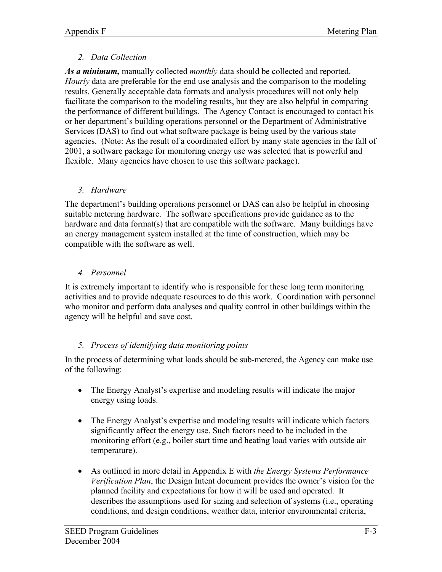#### *2. Data Collection*

*As a minimum,* manually collected *monthly* data should be collected and reported. *Hourly* data are preferable for the end use analysis and the comparison to the modeling results. Generally acceptable data formats and analysis procedures will not only help facilitate the comparison to the modeling results, but they are also helpful in comparing the performance of different buildings. The Agency Contact is encouraged to contact his or her department's building operations personnel or the Department of Administrative Services (DAS) to find out what software package is being used by the various state agencies. (Note: As the result of a coordinated effort by many state agencies in the fall of 2001, a software package for monitoring energy use was selected that is powerful and flexible. Many agencies have chosen to use this software package).

#### *3. Hardware*

The department's building operations personnel or DAS can also be helpful in choosing suitable metering hardware. The software specifications provide guidance as to the hardware and data format(s) that are compatible with the software. Many buildings have an energy management system installed at the time of construction, which may be compatible with the software as well.

## *4. Personnel*

It is extremely important to identify who is responsible for these long term monitoring activities and to provide adequate resources to do this work. Coordination with personnel who monitor and perform data analyses and quality control in other buildings within the agency will be helpful and save cost.

## *5. Process of identifying data monitoring points*

In the process of determining what loads should be sub-metered, the Agency can make use of the following:

- The Energy Analyst's expertise and modeling results will indicate the major energy using loads.
- The Energy Analyst's expertise and modeling results will indicate which factors significantly affect the energy use. Such factors need to be included in the monitoring effort (e.g., boiler start time and heating load varies with outside air temperature).
- As outlined in more detail in Appendix E with *the Energy Systems Performance Verification Plan*, the Design Intent document provides the owner's vision for the planned facility and expectations for how it will be used and operated. It describes the assumptions used for sizing and selection of systems (i.e., operating conditions, and design conditions, weather data, interior environmental criteria,